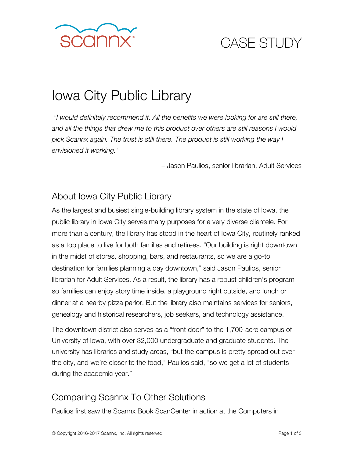

## CASE STUDY

# Iowa City Public Library

*"I would definitely recommend it. All the benefits we were looking for are still there, and all the things that drew me to this product over others are still reasons I would pick Scannx again. The trust is still there. The product is still working the way I envisioned it working."*

– Jason Paulios, senior librarian, Adult Services

### About Iowa City Public Library

As the largest and busiest single-building library system in the state of Iowa, the public library in Iowa City serves many purposes for a very diverse clientele. For more than a century, the library has stood in the heart of Iowa City, routinely ranked as a top place to live for both families and retirees. "Our building is right downtown in the midst of stores, shopping, bars, and restaurants, so we are a go-to destination for families planning a day downtown," said Jason Paulios, senior librarian for Adult Services. As a result, the library has a robust children's program so families can enjoy story time inside, a playground right outside, and lunch or dinner at a nearby pizza parlor. But the library also maintains services for seniors, genealogy and historical researchers, job seekers, and technology assistance.

The downtown district also serves as a "front door" to the 1,700-acre campus of University of Iowa, with over 32,000 undergraduate and graduate students. The university has libraries and study areas, "but the campus is pretty spread out over the city, and we're closer to the food," Paulios said, "so we get a lot of students during the academic year."

#### Comparing Scannx To Other Solutions

Paulios first saw the Scannx Book ScanCenter in action at the Computers in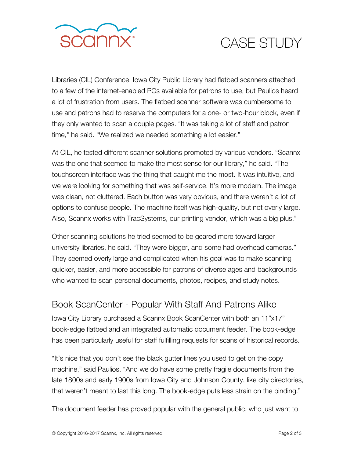

### CASE STUDY

Libraries (CIL) Conference. Iowa City Public Library had flatbed scanners attached to a few of the internet-enabled PCs available for patrons to use, but Paulios heard a lot of frustration from users. The flatbed scanner software was cumbersome to use and patrons had to reserve the computers for a one- or two-hour block, even if they only wanted to scan a couple pages. "It was taking a lot of staff and patron time," he said. "We realized we needed something a lot easier."

At CIL, he tested different scanner solutions promoted by various vendors. "Scannx was the one that seemed to make the most sense for our library," he said. "The touchscreen interface was the thing that caught me the most. It was intuitive, and we were looking for something that was self-service. It's more modern. The image was clean, not cluttered. Each button was very obvious, and there weren't a lot of options to confuse people. The machine itself was high-quality, but not overly large. Also, Scannx works with TracSystems, our printing vendor, which was a big plus."

Other scanning solutions he tried seemed to be geared more toward larger university libraries, he said. "They were bigger, and some had overhead cameras." They seemed overly large and complicated when his goal was to make scanning quicker, easier, and more accessible for patrons of diverse ages and backgrounds who wanted to scan personal documents, photos, recipes, and study notes.

#### Book ScanCenter - Popular With Staff And Patrons Alike

Iowa City Library purchased a Scannx Book ScanCenter with both an 11"x17" book-edge flatbed and an integrated automatic document feeder. The book-edge has been particularly useful for staff fulfilling requests for scans of historical records.

"It's nice that you don't see the black gutter lines you used to get on the copy machine," said Paulios. "And we do have some pretty fragile documents from the late 1800s and early 1900s from Iowa City and Johnson County, like city directories, that weren't meant to last this long. The book-edge puts less strain on the binding."

The document feeder has proved popular with the general public, who just want to